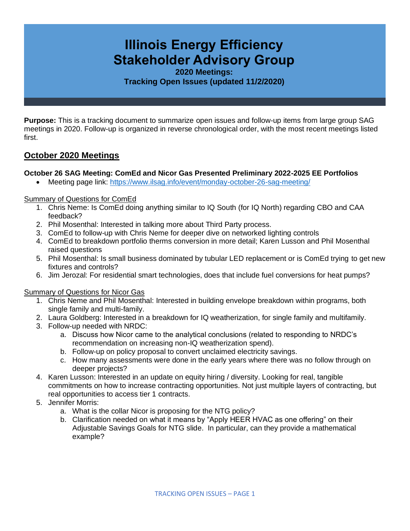# **Illinois Energy Efficiency Stakeholder Advisory Group**

**2020 Meetings: Tracking Open Issues (updated 11/2/2020)**

**Purpose:** This is a tracking document to summarize open issues and follow-up items from large group SAG meetings in 2020. Follow-up is organized in reverse chronological order, with the most recent meetings listed first.

# **October 2020 Meetings**

## **October 26 SAG Meeting: ComEd and Nicor Gas Presented Preliminary 2022-2025 EE Portfolios**

• Meeting page link: <https://www.ilsag.info/event/monday-october-26-sag-meeting/>

#### Summary of Questions for ComEd

- 1. Chris Neme: Is ComEd doing anything similar to IQ South (for IQ North) regarding CBO and CAA feedback?
- 2. Phil Mosenthal: Interested in talking more about Third Party process.
- 3. ComEd to follow-up with Chris Neme for deeper dive on networked lighting controls
- 4. ComEd to breakdown portfolio therms conversion in more detail; Karen Lusson and Phil Mosenthal raised questions
- 5. Phil Mosenthal: Is small business dominated by tubular LED replacement or is ComEd trying to get new fixtures and controls?
- 6. Jim Jerozal: For residential smart technologies, does that include fuel conversions for heat pumps?

#### Summary of Questions for Nicor Gas

- 1. Chris Neme and Phil Mosenthal: Interested in building envelope breakdown within programs, both single family and multi-family.
- 2. Laura Goldberg: Interested in a breakdown for IQ weatherization, for single family and multifamily.
- 3. Follow-up needed with NRDC:
	- a. Discuss how Nicor came to the analytical conclusions (related to responding to NRDC's recommendation on increasing non-IQ weatherization spend).
	- b. Follow-up on policy proposal to convert unclaimed electricity savings.
	- c. How many assessments were done in the early years where there was no follow through on deeper projects?
- 4. Karen Lusson: Interested in an update on equity hiring / diversity. Looking for real, tangible commitments on how to increase contracting opportunities. Not just multiple layers of contracting, but real opportunities to access tier 1 contracts.
- 5. Jennifer Morris:
	- a. What is the collar Nicor is proposing for the NTG policy?
	- b. Clarification needed on what it means by "Apply HEER HVAC as one offering" on their Adjustable Savings Goals for NTG slide. In particular, can they provide a mathematical example?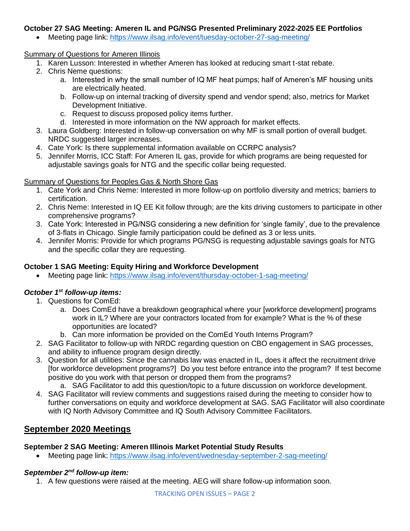## **October 27 SAG Meeting: Ameren IL and PG/NSG Presented Preliminary 2022-2025 EE Portfolios**

• Meeting page link: <https://www.ilsag.info/event/tuesday-october-27-sag-meeting/>

#### Summary of Questions for Ameren Illinois

- 1. Karen Lusson: Interested in whether Ameren has looked at reducing smart t-stat rebate.
- 2. Chris Neme questions:
	- a. Interested in why the small number of IQ MF heat pumps; half of Ameren's MF housing units are electrically heated.
	- b. Follow-up on internal tracking of diversity spend and vendor spend; also, metrics for Market Development Initiative.
	- c. Request to discuss proposed policy items further.
	- d. Interested in more information on the NW approach for market effects.
- 3. Laura Goldberg: Interested in follow-up conversation on why MF is small portion of overall budget. NRDC suggested larger increases.
- 4. Cate York: Is there supplemental information available on CCRPC analysis?
- 5. Jennifer Morris, ICC Staff: For Ameren IL gas, provide for which programs are being requested for adjustable savings goals for NTG and the specific collar being requested.

## Summary of Questions for Peoples Gas & North Shore Gas

- 1. Cate York and Chris Neme: Interested in more follow-up on portfolio diversity and metrics; barriers to certification.
- 2. Chris Neme: Interested in IQ EE Kit follow through; are the kits driving customers to participate in other comprehensive programs?
- 3. Cate York: Interested in PG/NSG considering a new definition for 'single family', due to the prevalence of 3-flats in Chicago. Single family participation could be defined as 3 or less units.
- 4. Jennifer Morris: Provide for which programs PG/NSG is requesting adjustable savings goals for NTG and the specific collar they are requesting.

## **October 1 SAG Meeting: Equity Hiring and Workforce Development**

• Meeting page link:<https://www.ilsag.info/event/thursday-october-1-sag-meeting/>

# *October 1st follow-up items:*

- 1. Questions for ComEd:
	- a. Does ComEd have a breakdown geographical where your [workforce development] programs work in IL? Where are your contractors located from for example? What is the % of these opportunities are located?
	- b. Can more information be provided on the ComEd Youth Interns Program?
- 2. SAG Facilitator to follow-up with NRDC regarding question on CBO engagement in SAG processes, and ability to influence program design directly.
- 3. Question for all utilities: Since the cannabis law was enacted in IL, does it affect the recruitment drive [for workforce development programs?] Do you test before entrance into the program? If test become positive do you work with that person or dropped them from the programs?
	- a. SAG Facilitator to add this question/topic to a future discussion on workforce development.
- 4. SAG Facilitator will review comments and suggestions raised during the meeting to consider how to further conversations on equity and workforce development at SAG. SAG Facilitator will also coordinate with IQ North Advisory Committee and IQ South Advisory Committee Facilitators.

# **September 2020 Meetings**

#### **September 2 SAG Meeting: Ameren Illinois Market Potential Study Results**

• Meeting page link:<https://www.ilsag.info/event/wednesday-september-2-sag-meeting/>

# *September 2nd follow-up item:*

1. A few questions were raised at the meeting. AEG will share follow-up information soon.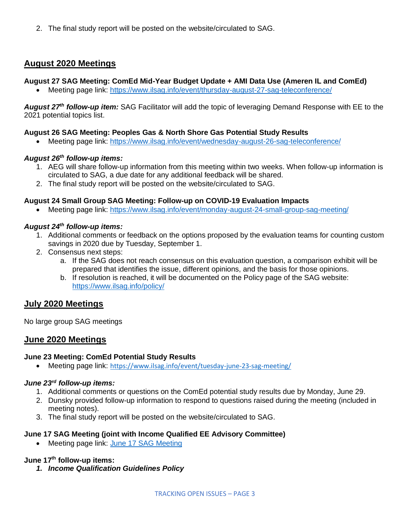2. The final study report will be posted on the website/circulated to SAG.

# **August 2020 Meetings**

## **August 27 SAG Meeting: ComEd Mid-Year Budget Update + AMI Data Use (Ameren IL and ComEd)**

• Meeting page link:<https://www.ilsag.info/event/thursday-august-27-sag-teleconference/>

*August 27th follow-up item:* SAG Facilitator will add the topic of leveraging Demand Response with EE to the 2021 potential topics list.

#### **August 26 SAG Meeting: Peoples Gas & North Shore Gas Potential Study Results**

• Meeting page link:<https://www.ilsag.info/event/wednesday-august-26-sag-teleconference/>

## *August 26th follow-up items:*

- 1. AEG will share follow-up information from this meeting within two weeks. When follow-up information is circulated to SAG, a due date for any additional feedback will be shared.
- 2. The final study report will be posted on the website/circulated to SAG.

#### **August 24 Small Group SAG Meeting: Follow-up on COVID-19 Evaluation Impacts**

• Meeting page link: <https://www.ilsag.info/event/monday-august-24-small-group-sag-meeting/>

## *August 24th follow-up items:*

- 1. Additional comments or feedback on the options proposed by the evaluation teams for counting custom savings in 2020 due by Tuesday, September 1.
- 2. Consensus next steps:
	- a. If the SAG does not reach consensus on this evaluation question, a comparison exhibit will be prepared that identifies the issue, different opinions, and the basis for those opinions.
	- b. If resolution is reached, it will be documented on the Policy page of the SAG website: <https://www.ilsag.info/policy/>

# **July 2020 Meetings**

No large group SAG meetings

# **June 2020 Meetings**

#### **June 23 Meeting: ComEd Potential Study Results**

• Meeting page link: <https://www.ilsag.info/event/tuesday-june-23-sag-meeting/>

#### *June 23rd follow-up items:*

- 1. Additional comments or questions on the ComEd potential study results due by Monday, June 29.
- 2. Dunsky provided follow-up information to respond to questions raised during the meeting (included in meeting notes).
- 3. The final study report will be posted on the website/circulated to SAG.

#### **June 17 SAG Meeting (joint with Income Qualified EE Advisory Committee)**

• Meeting page link: [June 17 SAG Meeting](https://www.ilsag.info/event/wednesday-june-17-sag-meeting/)

## **June 17th follow-up items:**

*1. Income Qualification Guidelines Policy*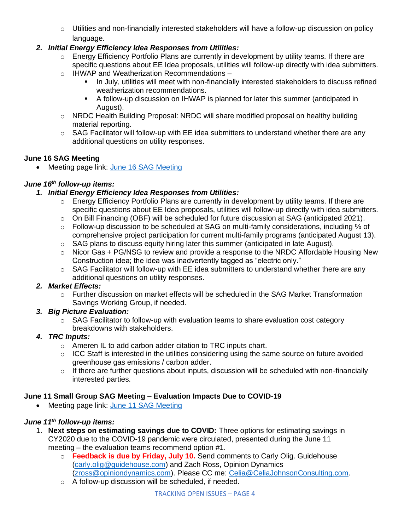$\circ$  Utilities and non-financially interested stakeholders will have a follow-up discussion on policy language.

# *2. Initial Energy Efficiency Idea Responses from Utilities:*

- o Energy Efficiency Portfolio Plans are currently in development by utility teams. If there are specific questions about EE Idea proposals, utilities will follow-up directly with idea submitters.
- o IHWAP and Weatherization Recommendations
	- In July, utilities will meet with non-financially interested stakeholders to discuss refined weatherization recommendations.
	- A follow-up discussion on IHWAP is planned for later this summer (anticipated in August).
- o NRDC Health Building Proposal: NRDC will share modified proposal on healthy building material reporting.
- o SAG Facilitator will follow-up with EE idea submitters to understand whether there are any additional questions on utility responses.

# **June 16 SAG Meeting**

• Meeting page link: [June 16 SAG Meeting](https://www.ilsag.info/event/tuesday-june-16-sag-meeting/)

# *June 16th follow-up items:*

# *1. Initial Energy Efficiency Idea Responses from Utilities:*

- $\circ$  Energy Efficiency Portfolio Plans are currently in development by utility teams. If there are specific questions about EE Idea proposals, utilities will follow-up directly with idea submitters.
- o On Bill Financing (OBF) will be scheduled for future discussion at SAG (anticipated 2021).
- o Follow-up discussion to be scheduled at SAG on multi-family considerations, including % of comprehensive project participation for current multi-family programs (anticipated August 13).
- o SAG plans to discuss equity hiring later this summer (anticipated in late August).
- $\circ$  Nicor Gas + PG/NSG to review and provide a response to the NRDC Affordable Housing New Construction idea; the idea was inadvertently tagged as "electric only."
- $\circ$  SAG Facilitator will follow-up with EE idea submitters to understand whether there are any additional questions on utility responses.

# *2. Market Effects:*

 $\circ$  Further discussion on market effects will be scheduled in the SAG Market Transformation Savings Working Group, if needed.

# *3. Big Picture Evaluation:*

 $\circ$  SAG Facilitator to follow-up with evaluation teams to share evaluation cost category breakdowns with stakeholders.

# *4. TRC Inputs:*

- o Ameren IL to add carbon adder citation to TRC inputs chart.
- $\circ$  ICC Staff is interested in the utilities considering using the same source on future avoided greenhouse gas emissions / carbon adder.
- $\circ$  If there are further questions about inputs, discussion will be scheduled with non-financially interested parties.

# **June 11 Small Group SAG Meeting – Evaluation Impacts Due to COVID-19**

• Meeting page link: [June 11 SAG Meeting](https://www.ilsag.info/event/thursday-june-11-small-group-sag-meeting/)

# *June 11th follow-up items:*

- 1. **Next steps on estimating savings due to COVID:** Three options for estimating savings in CY2020 due to the COVID-19 pandemic were circulated, presented during the June 11 meeting – the evaluation teams recommend option #1.
	- o **Feedback is due by Friday, July 10.** Send comments to Carly Olig. Guidehouse [\(carly.olig@guidehouse.com\)](mailto:carly.olig@guidehouse.com) and Zach Ross, Opinion Dynamics [\(zross@opiniondynamics.com\)](mailto:zross@opiniondynamics.com). Please CC me: [Celia@CeliaJohnsonConsulting.com.](mailto:Celia@CeliaJohnsonConsulting.com)
	- o A follow-up discussion will be scheduled, if needed.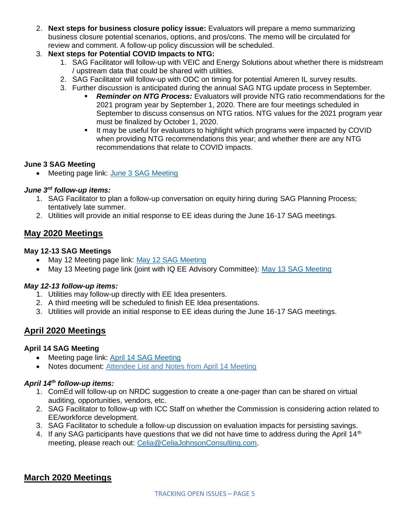- 2. **Next steps for business closure policy issue:** Evaluators will prepare a memo summarizing business closure potential scenarios, options, and pros/cons. The memo will be circulated for review and comment. A follow-up policy discussion will be scheduled.
- 3. **Next steps for Potential COVID Impacts to NTG:**
	- 1. SAG Facilitator will follow-up with VEIC and Energy Solutions about whether there is midstream / upstream data that could be shared with utilities.
	- 2. SAG Facilitator will follow-up with ODC on timing for potential Ameren IL survey results.
	- 3. Further discussion is anticipated during the annual SAG NTG update process in September.
		- **Reminder on NTG Process:** Evaluators will provide NTG ratio recommendations for the 2021 program year by September 1, 2020. There are four meetings scheduled in September to discuss consensus on NTG ratios. NTG values for the 2021 program year must be finalized by October 1, 2020.
		- It may be useful for evaluators to highlight which programs were impacted by COVID when providing NTG recommendations this year; and whether there are any NTG recommendations that relate to COVID impacts.

## **June 3 SAG Meeting**

• Meeting page link: [June 3 SAG Meeting](https://www.ilsag.info/event/wednesday-june-3-sag-meeting/)

## *June 3rd follow-up items:*

- 1. SAG Facilitator to plan a follow-up conversation on equity hiring during SAG Planning Process; tentatively late summer.
- 2. Utilities will provide an initial response to EE ideas during the June 16-17 SAG meetings.

# **May 2020 Meetings**

# **May 12-13 SAG Meetings**

- May 12 Meeting page link: [May 12 SAG Meeting](https://www.ilsag.info/event/tuesday-may-12-sag-meeting/)
- May 13 Meeting page link (joint with IQ EE Advisory Committee): [May 13 SAG Meeting](https://www.ilsag.info/event/wednesday-may-13-sag-meeting/)

# *May 12-13 follow-up items:*

- 1. Utilities may follow-up directly with EE Idea presenters.
- 2. A third meeting will be scheduled to finish EE Idea presentations.
- 3. Utilities will provide an initial response to EE ideas during the June 16-17 SAG meetings.

# **April 2020 Meetings**

# **April 14 SAG Meeting**

- Meeting page link: [April 14 SAG Meeting](https://www.ilsag.info/event/tuesday-april-14-sag-meeting/)
- Notes document: [Attendee List and Notes from April 14 Meeting](https://s3.amazonaws.com/ilsag/SAG_April-14-2020_Meeting_Attendees_and_Notes_Final.pdf)

# *April 14th follow-up items:*

- 1. ComEd will follow-up on NRDC suggestion to create a one-pager than can be shared on virtual auditing, opportunities, vendors, etc.
- 2. SAG Facilitator to follow-up with ICC Staff on whether the Commission is considering action related to EE/workforce development.
- 3. SAG Facilitator to schedule a follow-up discussion on evaluation impacts for persisting savings.
- 4. If any SAG participants have questions that we did not have time to address during the April 14<sup>th</sup> meeting, please reach out: [Celia@CeliaJohnsonConsulting.com.](mailto:Celia@CeliaJohnsonConsulting.com)

# **March 2020 Meetings**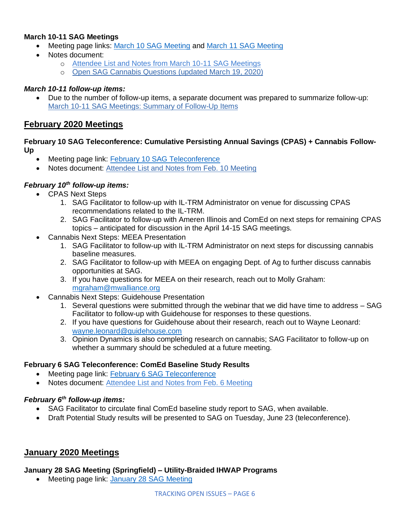# **March 10-11 SAG Meetings**

- Meeting page links: [March 10 SAG Meeting](https://www.ilsag.info/event/tuesday-march-10-sag-meeting/) and [March 11 SAG Meeting](https://www.ilsag.info/event/wednesday-march-11-sag-meeting/)
- Notes document:
	- o [Attendee List and Notes from March 10-11 SAG Meetings](https://s3.amazonaws.com/ilsag/SAG_March_10-11-2020_Meetings_Attendees_and_Notes_Final.pdf)
	- o [Open SAG Cannabis Questions \(updated March 19, 2020\)](https://s3.amazonaws.com/ilsag/SAG-Open-Cannabis-Questions_updated-3-19-2020.pdf)

## *March 10-11 follow-up items:*

• Due to the number of follow-up items, a separate document was prepared to summarize follow-up: [March 10-11 SAG Meetings: Summary of Follow-Up Items](https://s3.amazonaws.com/ilsag/SAG_March-10-11_2020_Meetings_Summary-of-Follow-Up-Items_Final.pdf)

# **February 2020 Meetings**

#### **February 10 SAG Teleconference: Cumulative Persisting Annual Savings (CPAS) + Cannabis Follow-Up**

- Meeting page link: [February 10 SAG Teleconference](https://www.ilsag.info/event/monday-february-10-sag-teleconference/)
- Notes document: [Attendee List and Notes from Feb. 10 Meeting](https://s3.amazonaws.com/ilsag/Large_Group_SAG_Meeting_Monday-Feb-10-2020_Attendees_and_Notes_Final.pdf)

## *February 10th follow-up items:*

- CPAS Next Steps
	- 1. SAG Facilitator to follow-up with IL-TRM Administrator on venue for discussing CPAS recommendations related to the IL-TRM.
	- 2. SAG Facilitator to follow-up with Ameren Illinois and ComEd on next steps for remaining CPAS topics – anticipated for discussion in the April 14-15 SAG meetings.
- Cannabis Next Steps: MEEA Presentation
	- 1. SAG Facilitator to follow-up with IL-TRM Administrator on next steps for discussing cannabis baseline measures.
	- 2. SAG Facilitator to follow-up with MEEA on engaging Dept. of Ag to further discuss cannabis opportunities at SAG.
	- 3. If you have questions for MEEA on their research, reach out to Molly Graham: [mgraham@mwalliance.org](mailto:mgraham@mwalliance.org)
- Cannabis Next Steps: Guidehouse Presentation
	- 1. Several questions were submitted through the webinar that we did have time to address SAG Facilitator to follow-up with Guidehouse for responses to these questions.
	- 2. If you have questions for Guidehouse about their research, reach out to Wayne Leonard: [wayne.leonard@guidehouse.com](mailto:wayne.leonard@guidehouse.com)
	- 3. Opinion Dynamics is also completing research on cannabis; SAG Facilitator to follow-up on whether a summary should be scheduled at a future meeting.

#### **February 6 SAG Teleconference: ComEd Baseline Study Results**

- Meeting page link: [February 6 SAG Teleconference](https://www.ilsag.info/event/thursday-february-6-sag-teleconference/)
- Notes document: [Attendee List and Notes from Feb. 6 Meeting](https://s3.amazonaws.com/ilsag/Large_Group_SAG_Meeting_Thursday-Feb-6-2020_Attendees_and_Notes_Final.pdf)

#### *February 6th follow-up items:*

- SAG Facilitator to circulate final ComEd baseline study report to SAG, when available.
- Draft Potential Study results will be presented to SAG on Tuesday, June 23 (teleconference).

# **January 2020 Meetings**

#### **January 28 SAG Meeting (Springfield) – Utility-Braided IHWAP Programs**

• Meeting page link: [January 28 SAG Meeting](https://www.ilsag.info/event/tuesday-january-28-sag-meeting/)